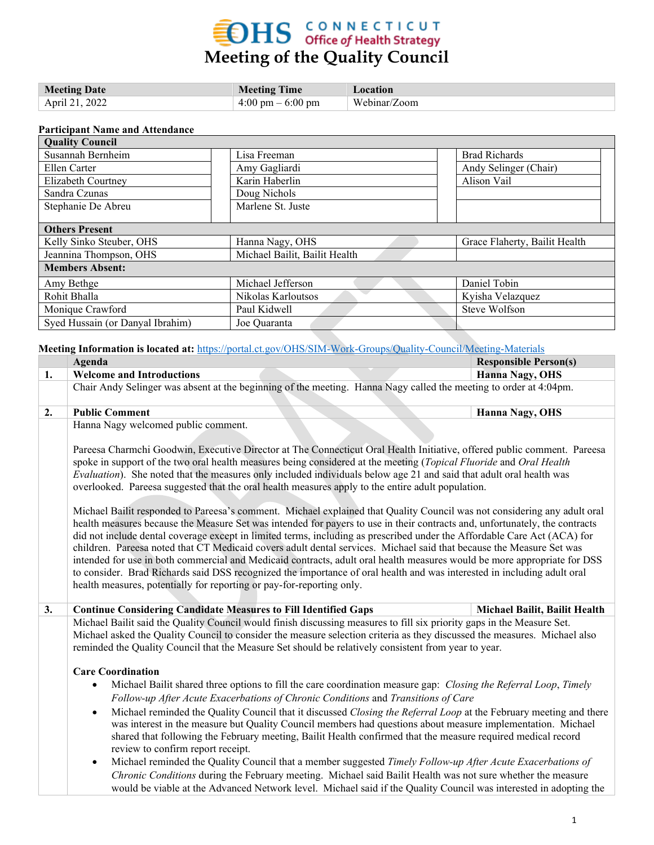## **EDHS** CONNECTICUT<br>Meeting of the Quality Council

| <b>Meeting Date</b> | <b>Meeting Time</b>                 | Location     |
|---------------------|-------------------------------------|--------------|
| April 21, 2022      | $4:00 \text{ pm} - 6:00 \text{ pm}$ | Webinar/Zoom |

#### **Participant Name and Attendance**

| <b>Quality Council</b>           |                               |                               |
|----------------------------------|-------------------------------|-------------------------------|
| Susannah Bernheim                | Lisa Freeman                  | <b>Brad Richards</b>          |
| Ellen Carter                     | Amy Gagliardi                 | Andy Selinger (Chair)         |
| Elizabeth Courtney               | Karin Haberlin                | Alison Vail                   |
| Sandra Czunas                    | Doug Nichols                  |                               |
| Stephanie De Abreu               | Marlene St. Juste             |                               |
| <b>Others Present</b>            |                               |                               |
| Kelly Sinko Steuber, OHS         | Hanna Nagy, OHS               | Grace Flaherty, Bailit Health |
| Jeannina Thompson, OHS           | Michael Bailit, Bailit Health |                               |
| <b>Members Absent:</b>           |                               |                               |
| Amy Bethge                       | Michael Jefferson             | Daniel Tobin                  |
| Rohit Bhalla                     | Nikolas Karloutsos            | Kyisha Velazquez              |
| Monique Crawford                 | Paul Kidwell                  | Steve Wolfson                 |
| Syed Hussain (or Danyal Ibrahim) | Joe Quaranta                  |                               |

**Meeting Information is located at:** <https://portal.ct.gov/OHS/SIM-Work-Groups/Quality-Council/Meeting-Materials>

|    | Agenda                                                                                                                                                                                                                                                                                                                                                                                                                                                                                                                                                                                                                                                                                                                                                                                                                                                                                                                                                                                                                                                                                                                                                                                                                                                                                                                                                          | <b>Responsible Person(s)</b>  |
|----|-----------------------------------------------------------------------------------------------------------------------------------------------------------------------------------------------------------------------------------------------------------------------------------------------------------------------------------------------------------------------------------------------------------------------------------------------------------------------------------------------------------------------------------------------------------------------------------------------------------------------------------------------------------------------------------------------------------------------------------------------------------------------------------------------------------------------------------------------------------------------------------------------------------------------------------------------------------------------------------------------------------------------------------------------------------------------------------------------------------------------------------------------------------------------------------------------------------------------------------------------------------------------------------------------------------------------------------------------------------------|-------------------------------|
| 1. | <b>Welcome and Introductions</b>                                                                                                                                                                                                                                                                                                                                                                                                                                                                                                                                                                                                                                                                                                                                                                                                                                                                                                                                                                                                                                                                                                                                                                                                                                                                                                                                | <b>Hanna Nagy, OHS</b>        |
|    | Chair Andy Selinger was absent at the beginning of the meeting. Hanna Nagy called the meeting to order at 4:04pm.                                                                                                                                                                                                                                                                                                                                                                                                                                                                                                                                                                                                                                                                                                                                                                                                                                                                                                                                                                                                                                                                                                                                                                                                                                               |                               |
| 2. | <b>Public Comment</b>                                                                                                                                                                                                                                                                                                                                                                                                                                                                                                                                                                                                                                                                                                                                                                                                                                                                                                                                                                                                                                                                                                                                                                                                                                                                                                                                           | Hanna Nagy, OHS               |
|    | Hanna Nagy welcomed public comment.<br>Pareesa Charmchi Goodwin, Executive Director at The Connecticut Oral Health Initiative, offered public comment. Pareesa<br>spoke in support of the two oral health measures being considered at the meeting (Topical Fluoride and Oral Health<br>Evaluation). She noted that the measures only included individuals below age 21 and said that adult oral health was<br>overlooked. Pareesa suggested that the oral health measures apply to the entire adult population.<br>Michael Bailit responded to Pareesa's comment. Michael explained that Quality Council was not considering any adult oral<br>health measures because the Measure Set was intended for payers to use in their contracts and, unfortunately, the contracts<br>did not include dental coverage except in limited terms, including as prescribed under the Affordable Care Act (ACA) for<br>children. Pareesa noted that CT Medicaid covers adult dental services. Michael said that because the Measure Set was<br>intended for use in both commercial and Medicaid contracts, adult oral health measures would be more appropriate for DSS<br>to consider. Brad Richards said DSS recognized the importance of oral health and was interested in including adult oral<br>health measures, potentially for reporting or pay-for-reporting only. |                               |
| 3. | <b>Continue Considering Candidate Measures to Fill Identified Gaps</b>                                                                                                                                                                                                                                                                                                                                                                                                                                                                                                                                                                                                                                                                                                                                                                                                                                                                                                                                                                                                                                                                                                                                                                                                                                                                                          | Michael Bailit, Bailit Health |
|    | Michael Bailit said the Quality Council would finish discussing measures to fill six priority gaps in the Measure Set.<br>Michael asked the Quality Council to consider the measure selection criteria as they discussed the measures. Michael also<br>reminded the Quality Council that the Measure Set should be relatively consistent from year to year.                                                                                                                                                                                                                                                                                                                                                                                                                                                                                                                                                                                                                                                                                                                                                                                                                                                                                                                                                                                                     |                               |
|    | <b>Care Coordination</b>                                                                                                                                                                                                                                                                                                                                                                                                                                                                                                                                                                                                                                                                                                                                                                                                                                                                                                                                                                                                                                                                                                                                                                                                                                                                                                                                        |                               |
|    | Michael Bailit shared three options to fill the care coordination measure gap: Closing the Referral Loop, Timely<br>$\bullet$<br>Follow-up After Acute Exacerbations of Chronic Conditions and Transitions of Care                                                                                                                                                                                                                                                                                                                                                                                                                                                                                                                                                                                                                                                                                                                                                                                                                                                                                                                                                                                                                                                                                                                                              |                               |
|    | Michael reminded the Quality Council that it discussed Closing the Referral Loop at the February meeting and there<br>$\bullet$<br>was interest in the measure but Quality Council members had questions about measure implementation. Michael<br>shared that following the February meeting, Bailit Health confirmed that the measure required medical record<br>review to confirm report receipt.                                                                                                                                                                                                                                                                                                                                                                                                                                                                                                                                                                                                                                                                                                                                                                                                                                                                                                                                                             |                               |
|    | Michael reminded the Quality Council that a member suggested Timely Follow-up After Acute Exacerbations of<br>$\bullet$<br>Chronic Conditions during the February meeting. Michael said Bailit Health was not sure whether the measure<br>would be viable at the Advanced Network level. Michael said if the Quality Council was interested in adopting the                                                                                                                                                                                                                                                                                                                                                                                                                                                                                                                                                                                                                                                                                                                                                                                                                                                                                                                                                                                                     |                               |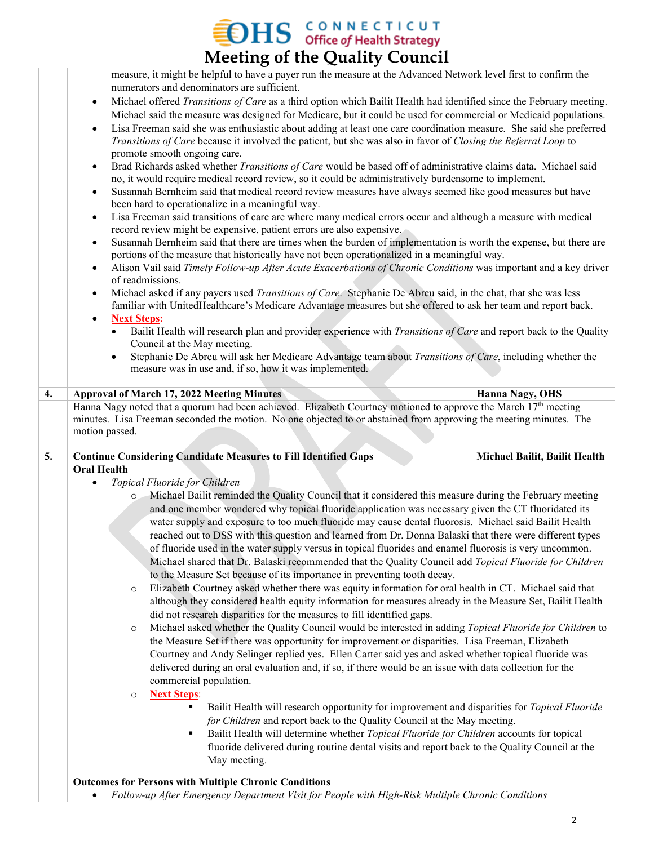### $\rm 3HS$  CONNECTICUT of Health Strategy **Meeting of the Quality Council**

measure, it might be helpful to have a payer run the measure at the Advanced Network level first to confirm the numerators and denominators are sufficient.

- Michael offered *Transitions of Care* as a third option which Bailit Health had identified since the February meeting. Michael said the measure was designed for Medicare, but it could be used for commercial or Medicaid populations.
- Lisa Freeman said she was enthusiastic about adding at least one care coordination measure. She said she preferred *Transitions of Care* because it involved the patient, but she was also in favor of *Closing the Referral Loop* to promote smooth ongoing care.
- Brad Richards asked whether *Transitions of Care* would be based off of administrative claims data. Michael said no, it would require medical record review, so it could be administratively burdensome to implement.
- Susannah Bernheim said that medical record review measures have always seemed like good measures but have been hard to operationalize in a meaningful way.
- Lisa Freeman said transitions of care are where many medical errors occur and although a measure with medical record review might be expensive, patient errors are also expensive.
- Susannah Bernheim said that there are times when the burden of implementation is worth the expense, but there are portions of the measure that historically have not been operationalized in a meaningful way.
- Alison Vail said *Timely Follow-up After Acute Exacerbations of Chronic Conditions* was important and a key driver of readmissions.
- Michael asked if any payers used *Transitions of Care*. Stephanie De Abreu said, in the chat, that she was less familiar with UnitedHealthcare's Medicare Advantage measures but she offered to ask her team and report back.

#### • **Next Steps:**

- Bailit Health will research plan and provider experience with *Transitions of Care* and report back to the Quality Council at the May meeting.
- Stephanie De Abreu will ask her Medicare Advantage team about *Transitions of Care*, including whether the measure was in use and, if so, how it was implemented.

#### **4. Approval of March 17, 2022 Meeting Minutes <b>Approval of March 17, 2022 Meeting Minutes Hanna Nagy, OHS** Hanna Nagy noted that a quorum had been achieved. Elizabeth Courtney motioned to approve the March 17<sup>th</sup> meeting minutes. Lisa Freeman seconded the motion. No one objected to or abstained from approving the meeting minutes. The motion passed.

#### **5. Continue Considering Candidate Measures to Fill Identified Gaps <b>Michael Bailit, Bailit Health Oral Health**

- *Topical Fluoride for Children*
	- o Michael Bailit reminded the Quality Council that it considered this measure during the February meeting and one member wondered why topical fluoride application was necessary given the CT fluoridated its water supply and exposure to too much fluoride may cause dental fluorosis. Michael said Bailit Health reached out to DSS with this question and learned from Dr. Donna Balaski that there were different types of fluoride used in the water supply versus in topical fluorides and enamel fluorosis is very uncommon. Michael shared that Dr. Balaski recommended that the Quality Council add *Topical Fluoride for Children* to the Measure Set because of its importance in preventing tooth decay.
	- Elizabeth Courtney asked whether there was equity information for oral health in CT. Michael said that although they considered health equity information for measures already in the Measure Set, Bailit Health did not research disparities for the measures to fill identified gaps.
	- o Michael asked whether the Quality Council would be interested in adding *Topical Fluoride for Children* to the Measure Set if there was opportunity for improvement or disparities. Lisa Freeman, Elizabeth Courtney and Andy Selinger replied yes. Ellen Carter said yes and asked whether topical fluoride was delivered during an oral evaluation and, if so, if there would be an issue with data collection for the commercial population.
	- o **Next Steps**:
		- Bailit Health will research opportunity for improvement and disparities for *Topical Fluoride for Children* and report back to the Quality Council at the May meeting.
		- Bailit Health will determine whether *Topical Fluoride for Children* accounts for topical fluoride delivered during routine dental visits and report back to the Quality Council at the May meeting.

#### **Outcomes for Persons with Multiple Chronic Conditions**

• *Follow-up After Emergency Department Visit for People with High-Risk Multiple Chronic Conditions*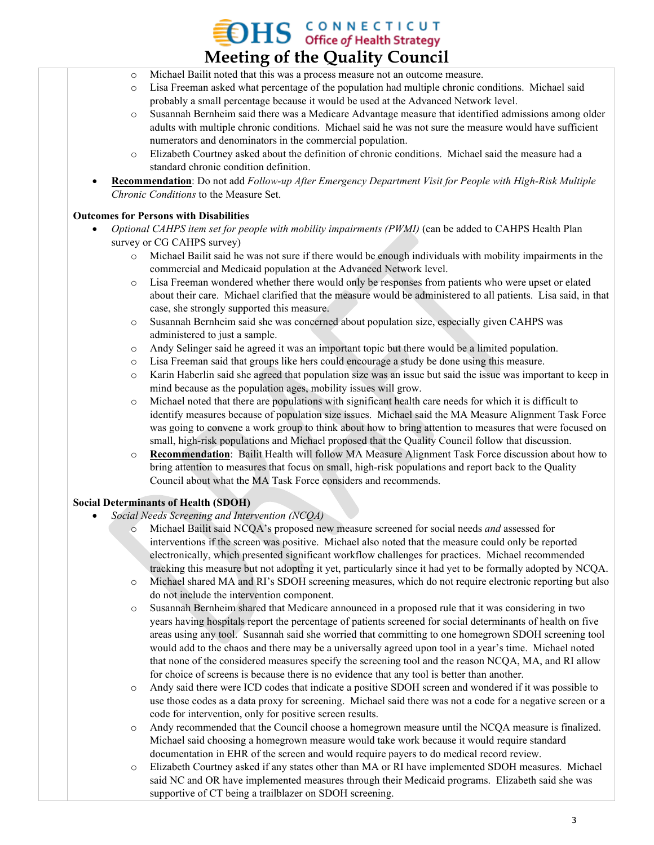### **OHS** CONNECTICUT **Meeting of the Quality Council**

- o Michael Bailit noted that this was a process measure not an outcome measure.
- o Lisa Freeman asked what percentage of the population had multiple chronic conditions. Michael said probably a small percentage because it would be used at the Advanced Network level.
- o Susannah Bernheim said there was a Medicare Advantage measure that identified admissions among older adults with multiple chronic conditions. Michael said he was not sure the measure would have sufficient numerators and denominators in the commercial population.
- Elizabeth Courtney asked about the definition of chronic conditions. Michael said the measure had a standard chronic condition definition.
- **Recommendation**: Do not add *Follow-up After Emergency Department Visit for People with High-Risk Multiple Chronic Conditions* to the Measure Set.

#### **Outcomes for Persons with Disabilities**

- *Optional CAHPS item set for people with mobility impairments (PWMI)* (can be added to CAHPS Health Plan survey or CG CAHPS survey)
	- o Michael Bailit said he was not sure if there would be enough individuals with mobility impairments in the commercial and Medicaid population at the Advanced Network level.
	- o Lisa Freeman wondered whether there would only be responses from patients who were upset or elated about their care. Michael clarified that the measure would be administered to all patients. Lisa said, in that case, she strongly supported this measure.
	- o Susannah Bernheim said she was concerned about population size, especially given CAHPS was administered to just a sample.
	- o Andy Selinger said he agreed it was an important topic but there would be a limited population.
	- o Lisa Freeman said that groups like hers could encourage a study be done using this measure.
	- o Karin Haberlin said she agreed that population size was an issue but said the issue was important to keep in mind because as the population ages, mobility issues will grow.
	- o Michael noted that there are populations with significant health care needs for which it is difficult to identify measures because of population size issues. Michael said the MA Measure Alignment Task Force was going to convene a work group to think about how to bring attention to measures that were focused on small, high-risk populations and Michael proposed that the Quality Council follow that discussion.
	- o **Recommendation**: Bailit Health will follow MA Measure Alignment Task Force discussion about how to bring attention to measures that focus on small, high-risk populations and report back to the Quality Council about what the MA Task Force considers and recommends.

#### **Social Determinants of Health (SDOH)**

- *Social Needs Screening and Intervention (NCQA)*
	- Michael Bailit said NCQA's proposed new measure screened for social needs *and* assessed for interventions if the screen was positive. Michael also noted that the measure could only be reported electronically, which presented significant workflow challenges for practices. Michael recommended tracking this measure but not adopting it yet, particularly since it had yet to be formally adopted by NCQA.
	- o Michael shared MA and RI's SDOH screening measures, which do not require electronic reporting but also do not include the intervention component.
	- o Susannah Bernheim shared that Medicare announced in a proposed rule that it was considering in two years having hospitals report the percentage of patients screened for social determinants of health on five areas using any tool. Susannah said she worried that committing to one homegrown SDOH screening tool would add to the chaos and there may be a universally agreed upon tool in a year's time. Michael noted that none of the considered measures specify the screening tool and the reason NCQA, MA, and RI allow for choice of screens is because there is no evidence that any tool is better than another.
	- o Andy said there were ICD codes that indicate a positive SDOH screen and wondered if it was possible to use those codes as a data proxy for screening. Michael said there was not a code for a negative screen or a code for intervention, only for positive screen results.
	- o Andy recommended that the Council choose a homegrown measure until the NCQA measure is finalized. Michael said choosing a homegrown measure would take work because it would require standard documentation in EHR of the screen and would require payers to do medical record review.
	- o Elizabeth Courtney asked if any states other than MA or RI have implemented SDOH measures. Michael said NC and OR have implemented measures through their Medicaid programs. Elizabeth said she was supportive of CT being a trailblazer on SDOH screening.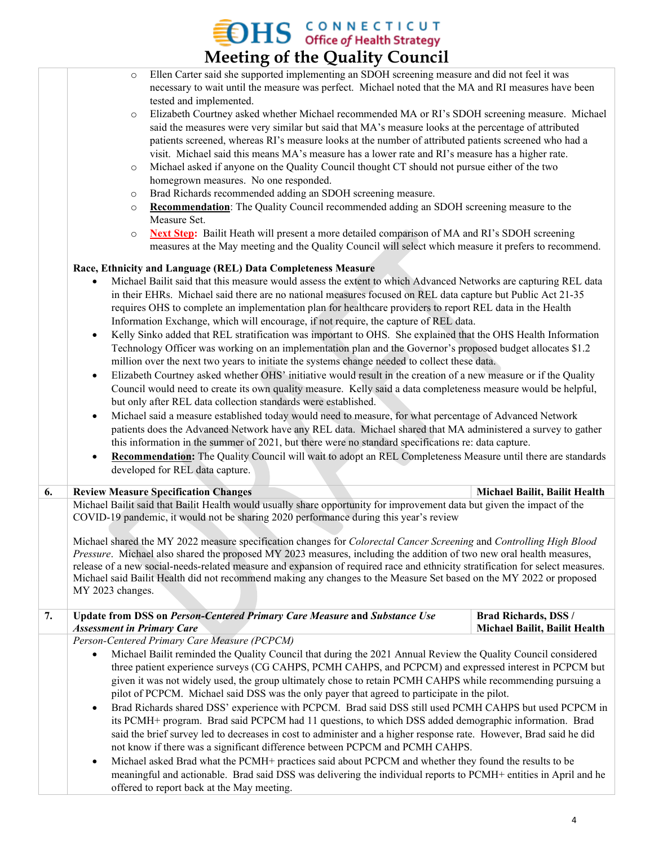## **EDHS** CONNECTICUT<br>Meeting of the Quality Council

|    | <b>INCCUTILE OF THE QUALITY COUNCIL</b>                                                                                                                                                                                                                                                                                                                                                                                                                                                                                                                                                                                                                                                                                                                                                                                                                                                                                                                                                                                                                                                                                                                                                                                                                                                                                                                                                                                                                                                                                                                                   |                                                              |
|----|---------------------------------------------------------------------------------------------------------------------------------------------------------------------------------------------------------------------------------------------------------------------------------------------------------------------------------------------------------------------------------------------------------------------------------------------------------------------------------------------------------------------------------------------------------------------------------------------------------------------------------------------------------------------------------------------------------------------------------------------------------------------------------------------------------------------------------------------------------------------------------------------------------------------------------------------------------------------------------------------------------------------------------------------------------------------------------------------------------------------------------------------------------------------------------------------------------------------------------------------------------------------------------------------------------------------------------------------------------------------------------------------------------------------------------------------------------------------------------------------------------------------------------------------------------------------------|--------------------------------------------------------------|
|    | Ellen Carter said she supported implementing an SDOH screening measure and did not feel it was<br>$\circ$<br>necessary to wait until the measure was perfect. Michael noted that the MA and RI measures have been<br>tested and implemented.<br>Elizabeth Courtney asked whether Michael recommended MA or RI's SDOH screening measure. Michael<br>$\circ$<br>said the measures were very similar but said that MA's measure looks at the percentage of attributed<br>patients screened, whereas RI's measure looks at the number of attributed patients screened who had a<br>visit. Michael said this means MA's measure has a lower rate and RI's measure has a higher rate.<br>Michael asked if anyone on the Quality Council thought CT should not pursue either of the two<br>$\circ$<br>homegrown measures. No one responded.<br>Brad Richards recommended adding an SDOH screening measure.<br>$\circ$<br>Recommendation: The Quality Council recommended adding an SDOH screening measure to the<br>$\circ$<br>Measure Set.<br>Next Step: Bailit Heath will present a more detailed comparison of MA and RI's SDOH screening<br>$\circ$<br>measures at the May meeting and the Quality Council will select which measure it prefers to recommend.<br>Race, Ethnicity and Language (REL) Data Completeness Measure<br>Michael Bailit said that this measure would assess the extent to which Advanced Networks are capturing REL data<br>$\bullet$<br>in their EHRs. Michael said there are no national measures focused on REL data capture but Public Act 21-35 |                                                              |
|    | requires OHS to complete an implementation plan for healthcare providers to report REL data in the Health<br>Information Exchange, which will encourage, if not require, the capture of REL data.<br>Kelly Sinko added that REL stratification was important to OHS. She explained that the OHS Health Information<br>$\bullet$<br>Technology Officer was working on an implementation plan and the Governor's proposed budget allocates \$1.2<br>million over the next two years to initiate the systems change needed to collect these data.<br>Elizabeth Courtney asked whether OHS' initiative would result in the creation of a new measure or if the Quality<br>$\bullet$<br>Council would need to create its own quality measure. Kelly said a data completeness measure would be helpful,<br>but only after REL data collection standards were established.<br>Michael said a measure established today would need to measure, for what percentage of Advanced Network<br>$\bullet$<br>patients does the Advanced Network have any REL data. Michael shared that MA administered a survey to gather<br>this information in the summer of 2021, but there were no standard specifications re: data capture.<br><b>Recommendation:</b> The Quality Council will wait to adopt an REL Completeness Measure until there are standards<br>$\bullet$<br>developed for REL data capture.                                                                                                                                                                                 |                                                              |
| 6. | <b>Review Measure Specification Changes</b>                                                                                                                                                                                                                                                                                                                                                                                                                                                                                                                                                                                                                                                                                                                                                                                                                                                                                                                                                                                                                                                                                                                                                                                                                                                                                                                                                                                                                                                                                                                               | Michael Bailit, Bailit Health                                |
|    | Michael Bailit said that Bailit Health would usually share opportunity for improvement data but given the impact of the<br>COVID-19 pandemic, it would not be sharing 2020 performance during this year's review<br>Michael shared the MY 2022 measure specification changes for Colorectal Cancer Screening and Controlling High Blood<br>Pressure. Michael also shared the proposed MY 2023 measures, including the addition of two new oral health measures,<br>release of a new social-needs-related measure and expansion of required race and ethnicity stratification for select measures.<br>Michael said Bailit Health did not recommend making any changes to the Measure Set based on the MY 2022 or proposed<br>MY 2023 changes.                                                                                                                                                                                                                                                                                                                                                                                                                                                                                                                                                                                                                                                                                                                                                                                                                              |                                                              |
| 7. | Update from DSS on Person-Centered Primary Care Measure and Substance Use<br><b>Assessment in Primary Care</b>                                                                                                                                                                                                                                                                                                                                                                                                                                                                                                                                                                                                                                                                                                                                                                                                                                                                                                                                                                                                                                                                                                                                                                                                                                                                                                                                                                                                                                                            | <b>Brad Richards, DSS /</b><br>Michael Bailit, Bailit Health |
|    | Person-Centered Primary Care Measure (PCPCM)<br>Michael Bailit reminded the Quality Council that during the 2021 Annual Review the Quality Council considered<br>$\bullet$<br>three patient experience surveys (CG CAHPS, PCMH CAHPS, and PCPCM) and expressed interest in PCPCM but<br>given it was not widely used, the group ultimately chose to retain PCMH CAHPS while recommending pursuing a<br>pilot of PCPCM. Michael said DSS was the only payer that agreed to participate in the pilot.<br>Brad Richards shared DSS' experience with PCPCM. Brad said DSS still used PCMH CAHPS but used PCPCM in<br>$\bullet$<br>its PCMH+ program. Brad said PCPCM had 11 questions, to which DSS added demographic information. Brad<br>said the brief survey led to decreases in cost to administer and a higher response rate. However, Brad said he did<br>not know if there was a significant difference between PCPCM and PCMH CAHPS.<br>Michael asked Brad what the PCMH+ practices said about PCPCM and whether they found the results to be<br>$\bullet$<br>meaningful and actionable. Brad said DSS was delivering the individual reports to PCMH+ entities in April and he<br>offered to report back at the May meeting.                                                                                                                                                                                                                                                                                                                                         |                                                              |